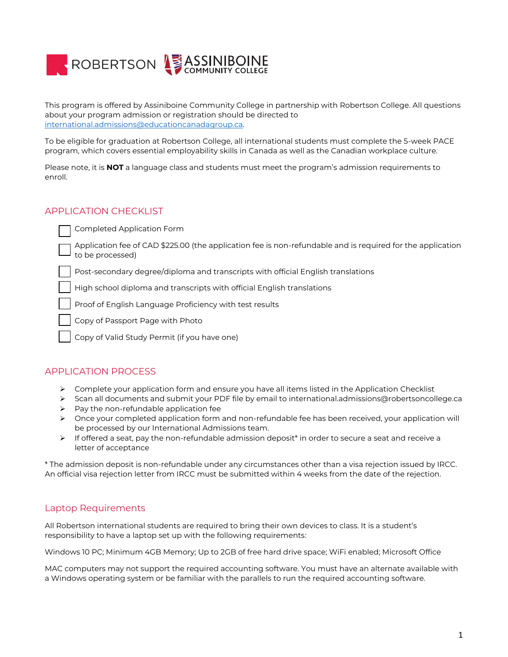

This program is offered by Assiniboine Community College in partnership with Robertson College. All questions about your program admission or registration should be directed to [international.admissions@educationcanadagroup.ca.](mailto:international.admissions@educationcanadagroup.ca)

To be eligible for graduation at Robertson College, all international students must complete the 5-week PACE program, which covers essential employability skills in Canada as well as the Canadian workplace culture.

Please note, it is **NOT** a language class and students must meet the program's admission requirements to enroll.

## APPLICATION CHECKLIST

Completed Application Form

Application fee of CAD \$225.00 (the application fee is non-refundable and is required for the application to be processed)

Post-secondary degree/diploma and transcripts with official English translations

High school diploma and transcripts with official English translations

Proof of English Language Proficiency with test results

Copy of Passport Page with Photo

Copy of Valid Study Permit (if you have one)

## APPLICATION PROCESS

- $\triangleright$  Complete your application form and ensure you have all items listed in the Application Checklist
- Scan all documents and submit your PDF file by email to international.admissions@robertsoncollege.ca
- $\triangleright$  Pay the non-refundable application fee
- Once your completed application form and non-refundable fee has been received, your application will be processed by our International Admissions team.
- $\triangleright$  If offered a seat, pay the non-refundable admission deposit\* in order to secure a seat and receive a letter of acceptance

\* The admission deposit is non-refundable under any circumstances other than a visa rejection issued by IRCC. An official visa rejection letter from IRCC must be submitted within 4 weeks from the date of the rejection.

## Laptop Requirements

All Robertson international students are required to bring their own devices to class. It is a student's responsibility to have a laptop set up with the following requirements:

Windows 10 PC; Minimum 4GB Memory; Up to 2GB of free hard drive space; WiFi enabled; Microsoft Office

MAC computers may not support the required accounting software. You must have an alternate available with a Windows operating system or be familiar with the parallels to run the required accounting software.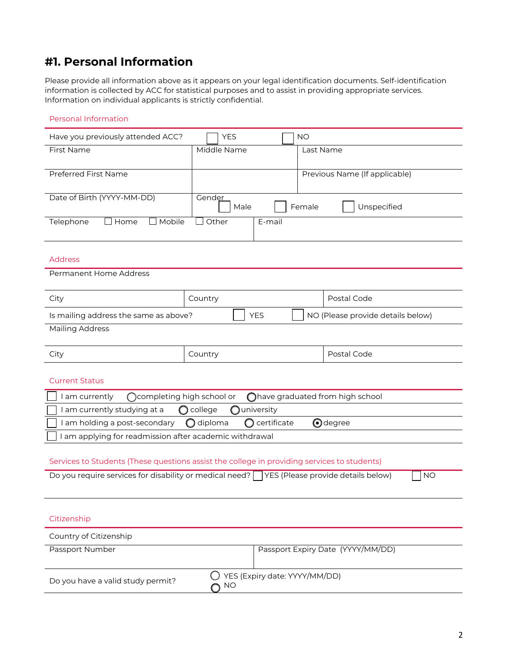# **#1. Personal Information**

Please provide all information above as it appears on your legal identification documents. Self-identification information is collected by ACC for statistical purposes and to assist in providing appropriate services. Information on individual applicants is strictly confidential.

### Personal Information

| Have you previously attended ACC?                                                                              | <b>YES</b>  | <b>NO</b>                        |                                   |  |
|----------------------------------------------------------------------------------------------------------------|-------------|----------------------------------|-----------------------------------|--|
| First Name                                                                                                     | Middle Name |                                  | Last Name                         |  |
|                                                                                                                |             |                                  |                                   |  |
| Preferred First Name                                                                                           |             |                                  | Previous Name (If applicable)     |  |
| Date of Birth (YYYY-MM-DD)                                                                                     | Gender      |                                  |                                   |  |
| Female<br>Unspecified<br>Male                                                                                  |             |                                  |                                   |  |
| Telephone<br>$\Box$ Mobile<br>Home<br>Other<br>E-mail                                                          |             |                                  |                                   |  |
|                                                                                                                |             |                                  |                                   |  |
| <b>Address</b>                                                                                                 |             |                                  |                                   |  |
| Permanent Home Address                                                                                         |             |                                  |                                   |  |
|                                                                                                                |             |                                  |                                   |  |
| City                                                                                                           | Country     |                                  | Postal Code                       |  |
| Is mailing address the same as above?<br><b>YES</b><br>NO (Please provide details below)                       |             |                                  |                                   |  |
| <b>Mailing Address</b>                                                                                         |             |                                  |                                   |  |
|                                                                                                                |             |                                  |                                   |  |
| City                                                                                                           | Country     |                                  | Postal Code                       |  |
|                                                                                                                |             |                                  |                                   |  |
| <b>Current Status</b>                                                                                          |             |                                  |                                   |  |
| ◯completing high school or<br>I am currently                                                                   |             | Ohave graduated from high school |                                   |  |
| I am currently studying at a                                                                                   | college     | university                       |                                   |  |
| $\bigodot$ degree<br>$\bigcirc$ diploma<br>certificate<br>I am holding a post-secondary<br>Ω                   |             |                                  |                                   |  |
| I am applying for readmission after academic withdrawal                                                        |             |                                  |                                   |  |
| Services to Students (These questions assist the college in providing services to students)                    |             |                                  |                                   |  |
| Do you require services for disability or medical need? $\Box$ YES (Please provide details below)<br><b>NO</b> |             |                                  |                                   |  |
|                                                                                                                |             |                                  |                                   |  |
|                                                                                                                |             |                                  |                                   |  |
| Citizenship                                                                                                    |             |                                  |                                   |  |
|                                                                                                                |             |                                  |                                   |  |
| Country of Citizenship<br>Passport Number                                                                      |             |                                  | Passport Expiry Date (YYYY/MM/DD) |  |
|                                                                                                                |             |                                  |                                   |  |
| YES (Expiry date: YYYY/MM/DD)                                                                                  |             |                                  |                                   |  |
| Do you have a valid study permit?<br><b>NO</b>                                                                 |             |                                  |                                   |  |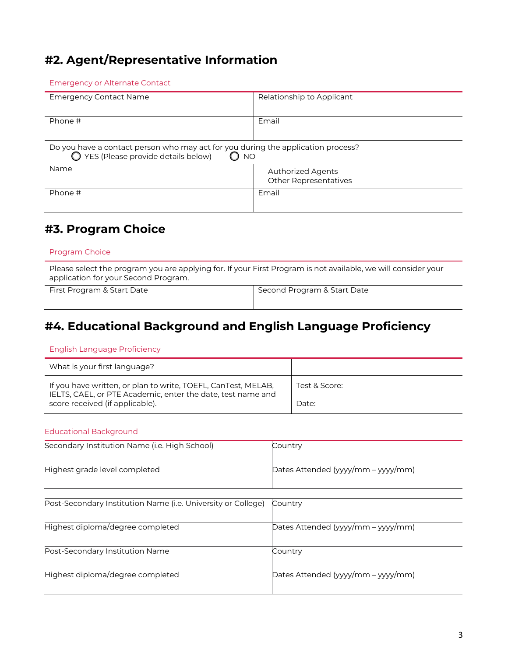# **#2. Agent/Representative Information**

### Emergency or Alternate Contact

| <b>Emergency Contact Name</b>                                                                                                                  | Relationship to Applicant                                |  |  |
|------------------------------------------------------------------------------------------------------------------------------------------------|----------------------------------------------------------|--|--|
| Phone #                                                                                                                                        | Email                                                    |  |  |
| Do you have a contact person who may act for you during the application process?<br>$\bigcirc$ YES (Please provide details below)<br><b>NO</b> |                                                          |  |  |
| Name                                                                                                                                           | <b>Authorized Agents</b><br><b>Other Representatives</b> |  |  |
| Phone #                                                                                                                                        | Email                                                    |  |  |

# **#3. Program Choice**

### Program Choice

Please select the program you are applying for. If your First Program is not available, we will consider your application for your Second Program.

First Program & Start Date Second Program & Start Date

# **#4. Educational Background and English Language Proficiency**

#### English Language Proficiency

| What is your first language?                                                                                                 |               |
|------------------------------------------------------------------------------------------------------------------------------|---------------|
| If you have written, or plan to write, TOEFL, CanTest, MELAB,<br>IELTS, CAEL, or PTE Academic, enter the date, test name and | Test & Score: |
| score received (if applicable).                                                                                              | Date:         |

### Educational Background

| Secondary Institution Name (i.e. High School)                | Country                            |
|--------------------------------------------------------------|------------------------------------|
| Highest grade level completed                                | Dates Attended (yyyy/mm – yyyy/mm) |
|                                                              |                                    |
| Post-Secondary Institution Name (i.e. University or College) | Country                            |
| Highest diploma/degree completed                             | Dates Attended (yyyy/mm – yyyy/mm) |
|                                                              |                                    |
| Post-Secondary Institution Name                              | Country                            |
| Highest diploma/degree completed                             | Dates Attended (yyyy/mm – yyyy/mm) |